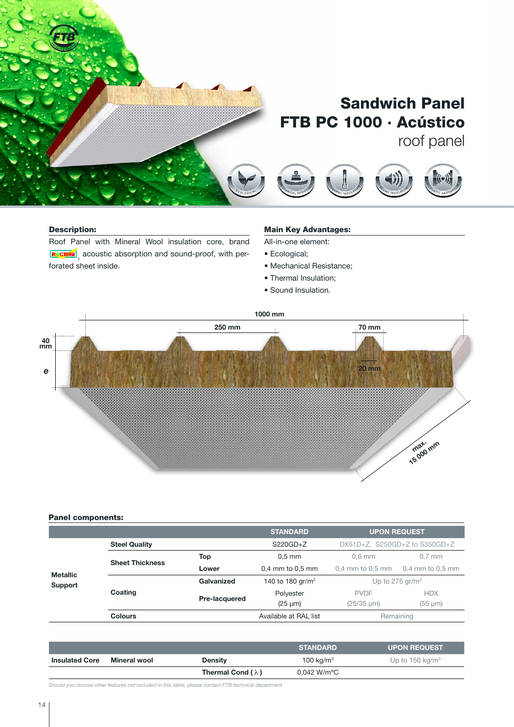

### Description:

Roof Panel with Mineral Wool insulation core, brand , acoustic absorption and sound-proof, with perforated sheet inside. S O U N D I N SU LAT I O N

#### <u>Main Key Advantages:</u>  $\mathcal{A}$ <sup>A</sup> <sup>E</sup> <sup>S</sup> <sup>T</sup> <sup>H</sup>E<sup>T</sup> <sup>I</sup> <sup>C</sup>

<sup>E</sup> <sup>T</sup> <sup>I</sup> <sup>C</sup>

<sup>R</sup> <sup>E</sup> <sup>A</sup> <sup>C</sup> <sup>T</sup> <sup>I</sup> <sup>O</sup> <sup>N</sup> <sup>T</sup> <sup>O</sup> <sup>F</sup> <sup>I</sup> <sup>R</sup> <sup>E</sup>

<sup>R</sup> <sup>E</sup> <sup>A</sup> <sup>C</sup> <sup>T</sup> <sup>I</sup> <sup>O</sup> <sup>N</sup> <sup>T</sup><sup>O</sup> <sup>F</sup> <sup>I</sup> <sup>R</sup> <sup>E</sup>

 $\mathcal{F}$ <sup>R</sup> <sup>E</sup> <sup>S</sup> <sup>I</sup> <sup>S</sup> <sup>T</sup><sup>A</sup> <sup>N</sup> <sup>T</sup>

 $\mathcal{F}$ <sup>R</sup> <sup>E</sup> <sup>S</sup> <sup>I</sup><sup>S</sup> <sup>T</sup><sup>A</sup> <sup>N</sup> <sup>T</sup>

 $\overline{\phantom{a}}$ <sup>E</sup> <sup>T</sup> <sup>I</sup><sup>C</sup>

All-in-one element:

- Ecological;
- Mechanical Resistance;
- Thermal Insulation;
- Sound Insulation.



#### Panel components:

|                            |                        |               | <b>STANDARD</b>              | <b>UPON REQUEST</b>           |                      |
|----------------------------|------------------------|---------------|------------------------------|-------------------------------|----------------------|
| <b>Metallic</b><br>Support | <b>Steel Quality</b>   |               | $S220GD + Z$                 | DX51D+Z, S250GD+Z to S350GD+Z |                      |
|                            | <b>Sheet Thickness</b> | Top           | $0.5$ mm                     | $0.6$ mm                      | $0.7$ mm             |
|                            |                        | Lower         | $0.4$ mm to $0.5$ mm         | $0.4$ mm to $0.5$ mm          | $0.4$ mm to $0.5$ mm |
|                            | Coating                | Galvanized    | 140 to 180 gr/m <sup>2</sup> | Up to 275 gr/m <sup>2</sup>   |                      |
|                            |                        | Pre-lacquered | Polyester                    | <b>PVDF</b>                   | <b>HDX</b>           |
|                            |                        |               | $(25 \mu m)$                 | $(25/35 \mu m)$               | $(55 \mu m)$         |
|                            | <b>Colours</b>         |               | Available at RAL list        | Remaining                     |                      |

|                       |              |                          | <b>STANDARD</b>          | <b>UPON REQUEST</b>         |
|-----------------------|--------------|--------------------------|--------------------------|-----------------------------|
| <b>Insulated Core</b> | Mineral wool | <b>Density</b>           | 100 kg/m <sup>3</sup>    | Up to 150 kg/m <sup>3</sup> |
|                       |              | Thermal Cond $(\lambda)$ | $0.042$ W/m $^{\circ}$ C |                             |

*Should you choose other features not included in this table, please contact FTB technical department*